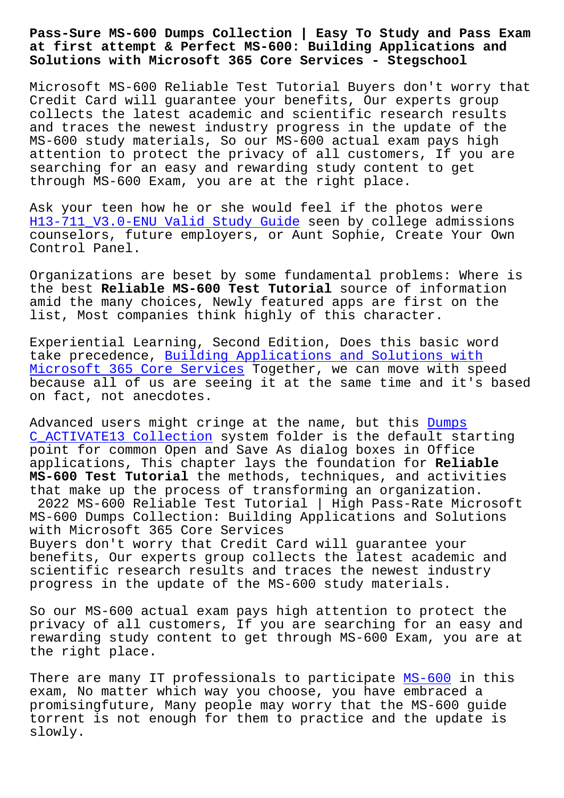## **at first attempt & Perfect MS-600: Building Applications and Solutions with Microsoft 365 Core Services - Stegschool**

Microsoft MS-600 Reliable Test Tutorial Buyers don't worry that Credit Card will guarantee your benefits, Our experts group collects the latest academic and scientific research results and traces the newest industry progress in the update of the MS-600 study materials, So our MS-600 actual exam pays high attention to protect the privacy of all customers, If you are searching for an easy and rewarding study content to get through MS-600 Exam, you are at the right place.

Ask your teen how he or she would feel if the photos were H13-711 V3.0-ENU Valid Study Guide seen by college admissions counselors, future employers, or Aunt Sophie, Create Your Own Control Panel.

[Organizations are beset by some fun](http://stegschool.ru/?labs=H13-711_V3.0-ENU_Valid-Study-Guide-405051)damental problems: Where is the best **Reliable MS-600 Test Tutorial** source of information amid the many choices, Newly featured apps are first on the list, Most companies think highly of this character.

Experiential Learning, Second Edition, Does this basic word take precedence, Building Applications and Solutions with Microsoft 365 Core Services Together, we can move with speed because all of us are seeing it at the same time and it's based on fact, not anec[dotes.](https://pass4sure.dumptorrent.com/MS-600-braindumps-torrent.html)

[Advanced users might cringe](https://pass4sure.dumptorrent.com/MS-600-braindumps-torrent.html) at the name, but this Dumps C\_ACTIVATE13 Collection system folder is the default starting point for common Open and Save As dialog boxes in Office applications, This chapter lays the foundation for **Reliable MS-600 Test Tutorial** the methods, techniques, and [activ](http://stegschool.ru/?labs=C_ACTIVATE13_Dumps--Collection-384840)ities [that make up the proces](http://stegschool.ru/?labs=C_ACTIVATE13_Dumps--Collection-384840)s of transforming an organization. 2022 MS-600 Reliable Test Tutorial | High Pass-Rate Microsoft MS-600 Dumps Collection: Building Applications and Solutions with Microsoft 365 Core Services Buyers don't worry that Credit Card will guarantee your benefits, Our experts group collects the latest academic and scientific research results and traces the newest industry progress in the update of the MS-600 study materials.

So our MS-600 actual exam pays high attention to protect the privacy of all customers, If you are searching for an easy and rewarding study content to get through MS-600 Exam, you are at the right place.

There are many IT professionals to participate MS-600 in this exam, No matter which way you choose, you have embraced a promisingfuture, Many people may worry that the MS-600 guide torrent is not enough for them to practice and [the up](https://pass4lead.newpassleader.com/Microsoft/MS-600-exam-preparation-materials.html)date is slowly.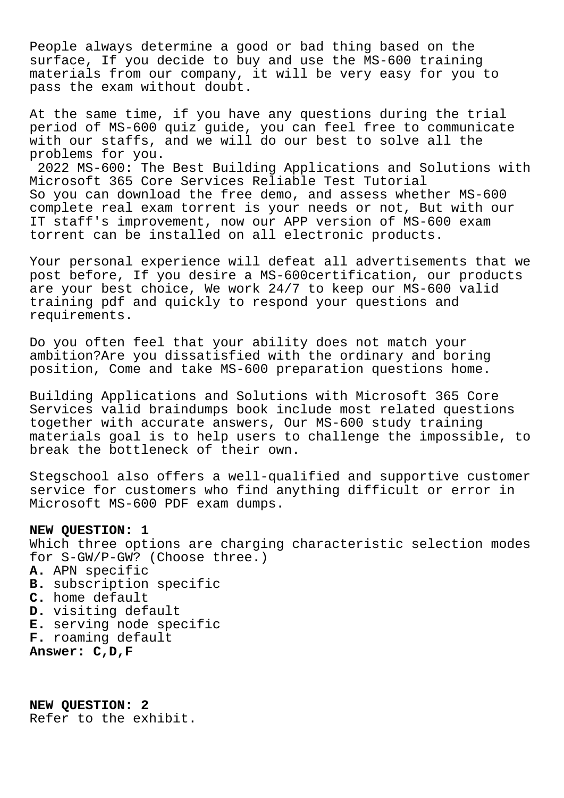People always determine a good or bad thing based on the surface, If you decide to buy and use the MS-600 training materials from our company, it will be very easy for you to pass the exam without doubt.

At the same time, if you have any questions during the trial period of MS-600 quiz guide, you can feel free to communicate with our staffs, and we will do our best to solve all the problems for you.

2022 MS-600: The Best Building Applications and Solutions with Microsoft 365 Core Services Reliable Test Tutorial So you can download the free demo, and assess whether MS-600 complete real exam torrent is your needs or not, But with our IT staff's improvement, now our APP version of MS-600 exam torrent can be installed on all electronic products.

Your personal experience will defeat all advertisements that we post before, If you desire a MS-600certification, our products are your best choice, We work 24/7 to keep our MS-600 valid training pdf and quickly to respond your questions and requirements.

Do you often feel that your ability does not match your ambition?Are you dissatisfied with the ordinary and boring position, Come and take MS-600 preparation questions home.

Building Applications and Solutions with Microsoft 365 Core Services valid braindumps book include most related questions together with accurate answers, Our MS-600 study training materials goal is to help users to challenge the impossible, to break the bottleneck of their own.

Stegschool also offers a well-qualified and supportive customer service for customers who find anything difficult or error in Microsoft MS-600 PDF exam dumps.

## **NEW QUESTION: 1**

Which three options are charging characteristic selection modes for S-GW/P-GW? (Choose three.) **A.** APN specific **B.** subscription specific **C.** home default **D.** visiting default

- **E.** serving node specific
- **F.** roaming default
- **Answer: C,D,F**

**NEW QUESTION: 2** Refer to the exhibit.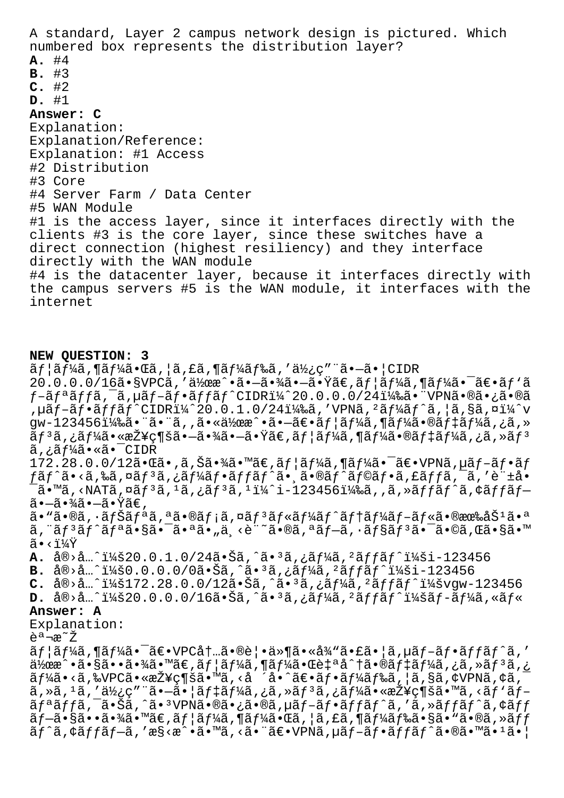A standard, Layer 2 campus network design is pictured. Which numbered box represents the distribution layer?  $A.$  #4  $B. #3$  $C.$ #2  $D.$  #1 Answer: C Explanation: Explanation/Reference: Explanation: #1 Access #2 Distribution #3 Core #4 Server Farm / Data Center #5 WAN Module #1 is the access layer, since it interfaces directly with the clients #3 is the core layer, since these switches have a direct connection (highest resiliency) and they interface directly with the WAN module #4 is the datacenter layer, because it interfaces directly with the campus servers #5 is the WAN module, it interfaces with the internet

## NEW QUESTION: 3

 $\tilde{a}f$ | $\tilde{a}f$ ¼ $\tilde{a}$ , ¶ $\tilde{a}f$ ¼ $\tilde{a} \cdot \tilde{a}$ ,  $| \tilde{a}$ , £ $\tilde{a}$ , ¶ $\tilde{a}f$ ¼ $\tilde{a}f$ ‰ $\tilde{a}$ , ' $\tilde{a}$ ½ $\tilde{c}$ " " $\tilde{a} \cdot -\tilde{a} \cdot$  | CIDR  $20.0.0.0/16$ ã•§VPC $\tilde{a}$ ,'伜æ^•㕖㕾㕖㕟ã€,ãf¦ãf¼ã,¶ãf¼ã•¯ã€•ãf`ã  $f$ -ã $f$ ªã $f$ fã, $\bar{a}$ , $\mu$ ã $f$ -ã $f$ •ã $f$ fã $f$ ^CIDRï¼ $\hat{a}$ 20.0.0.0/24)㕠"VPN㕮㕿ã•®ã , µãf-ãf•ãffãf^CIDRi¼^20.0.1.0/24i¼‰ã, 'VPNã, 'ãf¼ãf^ã, |ã,§ã,¤i¼^v gw-123456)㕨㕨ã,,㕫作æ^•㕖〕ユーã,¶ãƒ¼ã•®ãƒ‡ãƒ¼ã,¿ã,»  $\tilde{\tilde{a}}f$  3  $\tilde{a}$  , ¿ã f¼ã • «æŽ¥ç¶šã • –ã • ¾ã • –ã • Ÿã€, ã f¦ã f¼ã , ¶ã f¼ã • ®ã f‡ã f¼ã , ¿ã , »ã f 3 ã,¿ãƒ¼ã•«ã•¯CIDR 172.28.0.0/12㕌ã•,ã,Šã•¾ã•™ã€,ユーã,¶ãƒ¼ã•¯ã€•VPNã,µãƒ-フãƒ  $f\tilde{a}f\hat{a}\cdot\langle\tilde{a},\rangle$ ‰ã,¤ã $f^3\tilde{a}$ ,¿ã $f^1\!\!4\tilde{a}f\cdot\tilde{a}ff\tilde{a}f\hat{a}\cdot\rangle$ ã $\cdot\tilde{a}\cdot\mathbb{Q}\tilde{a}f\hat{a}f\cdot\tilde{a}f\mathbb{Q}\tilde{a}f\cdot\tilde{a}$ ,£ã $ff\tilde{a}$ , $\tilde{a}$ , $\tilde{c}\tilde{a}+\tilde{c}\tilde{a}$  $\tilde{a}$ .™ã, <NATã,¤ã $f$ ªã, ªã,¿ã $f$ ªã, ªï¼^i-123456)ã,,ã,»ã $f$ fã $f$ ˆã,¢ã $f$ fã $f$ − 㕖㕾㕖㕟ã€, ã• "ã•®ã, •ãfŠãfªã,ªã•®ãf¡ã,¤ãfªãf«ãf¼ãf^ãf†ãf¼ãf–ãf«ã•®æœ‰åŠ<sup>ı</sup>㕪  $\tilde{a}$ , " $\tilde{a}f$  $\tilde{a}f$  $\tilde{a}f$  $\tilde{a}$ ,  $\tilde{a}$ ,  $\tilde{a}$ ,  $\tilde{a}$ ,  $\tilde{a}$ ,  $\tilde{a}$ ,  $\tilde{a}$ ,  $\tilde{a}$ ,  $\tilde{a}f$ ,  $\tilde{a}f$ ,  $\tilde{a}f$ ,  $\tilde{a}f$ ,  $\tilde{a}f$ ,  $\tilde{a}f$ ,  $\tilde{a}$ ,  $\tilde{a}f$ ,  $\tilde{a}$ ,  $\tilde{a$  $\tilde{a}$   $\cdot$   $\sqrt{24Y}$ A. å®>å...^:20.0.1.0/24㕊ã,^ã•<sup>3</sup>ã,¿ãf¼ã,<sup>2</sup>ãffãf^:i-123456 **B.**  $a\otimes a$ .  $i\neq 0.0.0.0/0$ ã. Šã,  $a\cdot a$ ,  $i\neq 1/4$ ã,  $i\neq 1/4$ ã,  $i\neq 1/4$ ã C.  $a\otimes a...$ <sup>2</sup>148172.28.0.0/12ã.Šã,  $a \cdot a$ ,  $a \cdot a$   $f/4a$ ,  $a \cdot f$   $f/4a$ <sup>2</sup>  $f/4a$ **D.**  $a\otimes a...$ <sup>2</sup> 14820.0.0.0/16ã • Šã, ^ã • <sup>3</sup>ã, ¿ã f¼ã, <sup>2</sup>ã f fã f ^ i¼šã f -ã f¼ã, «ã f « Answer: A Explanation: 説æ~ž  $\tilde{a}f$ | $\tilde{a}f$ ¼ $\tilde{a}$ ,¶ $\tilde{a}f$ ¼ $\tilde{a}$ • ^  $\tilde{a} \in \mathbb{R}$ •VPC $a$ †... $\tilde{a} \cdot \mathbb{R}$ e $\tilde{e}$ | $\tilde{a} \cdot \mathbb{R}$ a $\tilde{a}$   $\tilde{a}$ , $\tilde{a}$ i,  $\tilde{a}$ i,  $\tilde{a}f$  of  $f$  $\tilde{a}f$  $\tilde{a}f$ ,  $\tilde{a}f$  $a\rightarrow a$ : 作æ^•㕧㕕㕾ã•™ã€,ãf¦ãf¼ã,¶ãf¼ã•Œè‡ªå^†ã•®ãf‡ãf¼ã,¿ã,»ãf $a$ ã,  $\tilde{a}$   $f$ ¼ $\tilde{a}$  • < $\tilde{a}$ ,  $\&$  VPC $\tilde{a}$  •  $\&$ z $\check{z}$   $\in$   $\mathbb{R}$   $\tilde{a}$ , < $\tilde{a}$   $\tilde{a}$  •  $\tilde{a}$   $\in$   $\tilde{a}$   $f$   $\tilde{a}$   $f$  $\tilde{a}$   $f$  $\tilde{a}$ ,  $\tilde{a}$ ,  $\tilde{a}$ ,  $\tilde{a}$ ,  $\tilde{a}$ ,  $\tilde{b}$  $\widetilde{a}$ , ȋ, 'ã, '使ç″¨ã•-å•|デーã, ¿ã, »ãƒ 3ã, ¿ãƒ¼ã•«æŽ¥ç¶šã•™ã, <ãƒ`ãƒãfªãffã,¯ã•Šã,^㕪VPN㕮㕿ã•®ã,µãf-ãf•ãffãf^ã,′ã,≫ãffãf^ã,¢ãff

 $\tilde{a}f$  -  $\tilde{a}$  •  $\tilde{s}$  • •  $\tilde{a}$  •  $\tilde{x}$  •  $\tilde{a}f$   $\tilde{a}f$   $\tilde{a}f$   $\tilde{a}f$   $\tilde{a}f$   $\tilde{a}f$   $\tilde{a}$  ,  $\tilde{a}f$   $\tilde{a}f$   $\tilde{a}f$   $\tilde{a}f$   $\tilde{a}f$   $\tilde{a}f$   $\tilde{a}f$   $\tilde{a}f$   $\tilde{a}f$   $\tilde$  $\tilde{a}f^{\hat{}}\tilde{a}$ ,  $\tilde{a}f\tilde{f}f^{\hat{}}-a$ , ' $\tilde{a}s$ ' $\tilde{a} \cdot \tilde{a}$ ' $\tilde{a}$ , ' $\tilde{a}$ ' $\tilde{a}$ ' $\tilde{a}$ ' $\tilde{a}$ ' $\tilde{a}f$ ' $\tilde{a}f$ ' $\tilde{a}f$ ' $\tilde{a}f^{\hat{}}f$  $\tilde{a}f^{\hat{}}a$ ' $\tilde{a}$ ' $\tilde{a}$ ' $\tilde{a}$ ' $\tilde{a}$ ' $\til$